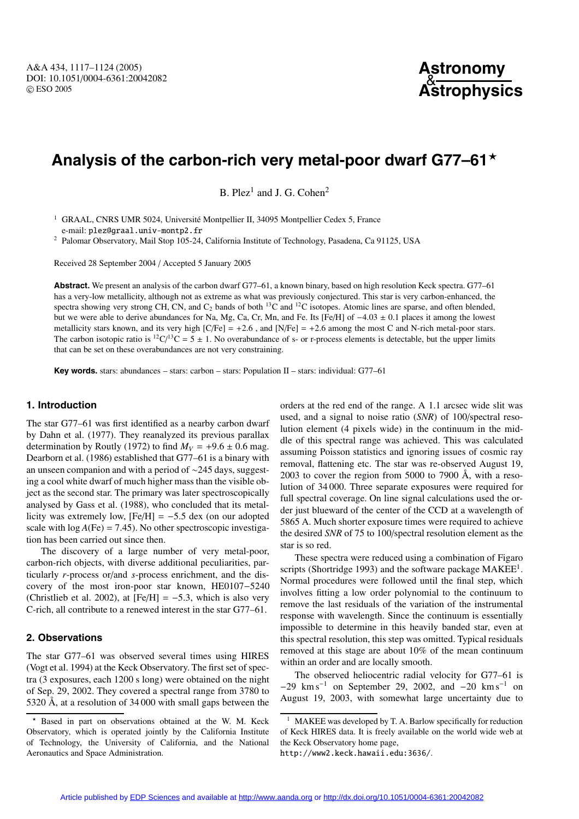# **Analysis of the carbon-rich very metal-poor dwarf G77–61**

B. Plez<sup>1</sup> and J. G. Cohen<sup>2</sup>

<sup>1</sup> GRAAL, CNRS UMR 5024, Université Montpellier II, 34095 Montpellier Cedex 5, France e-mail: plez@graal.univ-montp2.fr

<sup>2</sup> Palomar Observatory, Mail Stop 105-24, California Institute of Technology, Pasadena, Ca 91125, USA

Received 28 September 2004 / Accepted 5 January 2005

**Abstract.** We present an analysis of the carbon dwarf G77–61, a known binary, based on high resolution Keck spectra. G77–61 has a very-low metallicity, although not as extreme as what was previously conjectured. This star is very carbon-enhanced, the spectra showing very strong CH, CN, and  $C_2$  bands of both <sup>13</sup>C and <sup>12</sup>C isotopes. Atomic lines are sparse, and often blended, but we were able to derive abundances for Na, Mg, Ca, Cr, Mn, and Fe. Its [Fe/H] of −4.03 ± 0.1 places it among the lowest metallicity stars known, and its very high  $[C/Fe] = +2.6$ , and  $[N/Fe] = +2.6$  among the most C and N-rich metal-poor stars. The carbon isotopic ratio is  ${}^{12}C/{}^{13}C = 5 \pm 1$ . No overabundance of s- or r-process elements is detectable, but the upper limits that can be set on these overabundances are not very constraining.

**Key words.** stars: abundances – stars: carbon – stars: Population II – stars: individual: G77–61

## **1. Introduction**

The star G77–61 was first identified as a nearby carbon dwarf by Dahn et al. (1977). They reanalyzed its previous parallax determination by Routly (1972) to find  $M_V = +9.6 \pm 0.6$  mag. Dearborn et al. (1986) established that G77–61 is a binary with an unseen companion and with a period of ∼245 days, suggesting a cool white dwarf of much higher mass than the visible object as the second star. The primary was later spectroscopically analysed by Gass et al. (1988), who concluded that its metallicity was extremely low,  $[Fe/H] = -5.5$  dex (on our adopted scale with  $log A(Fe) = 7.45$ ). No other spectroscopic investigation has been carried out since then.

The discovery of a large number of very metal-poor, carbon-rich objects, with diverse additional peculiarities, particularly *r*-process or/and *s*-process enrichment, and the discovery of the most iron-poor star known, HE0107−5240 (Christlieb et al. 2002), at  $[Fe/H] = -5.3$ , which is also very C-rich, all contribute to a renewed interest in the star G77–61.

## **2. Observations**

The star G77–61 was observed several times using HIRES (Vogt et al. 1994) at the Keck Observatory. The first set of spectra (3 exposures, each 1200 s long) were obtained on the night of Sep. 29, 2002. They covered a spectral range from 3780 to 5320 Å, at a resolution of 34 000 with small gaps between the orders at the red end of the range. A 1.1 arcsec wide slit was used, and a signal to noise ratio (*SNR*) of 100/spectral resolution element (4 pixels wide) in the continuum in the middle of this spectral range was achieved. This was calculated assuming Poisson statistics and ignoring issues of cosmic ray removal, flattening etc. The star was re-observed August 19, 2003 to cover the region from 5000 to 7900  $\AA$ , with a resolution of 34 000. Three separate exposures were required for full spectral coverage. On line signal calculations used the order just blueward of the center of the CCD at a wavelength of 5865 A. Much shorter exposure times were required to achieve the desired *SNR* of 75 to 100/spectral resolution element as the star is so red.

These spectra were reduced using a combination of Figaro scripts (Shortridge 1993) and the software package MAKEE<sup>1</sup>. Normal procedures were followed until the final step, which involves fitting a low order polynomial to the continuum to remove the last residuals of the variation of the instrumental response with wavelength. Since the continuum is essentially impossible to determine in this heavily banded star, even at this spectral resolution, this step was omitted. Typical residuals removed at this stage are about 10% of the mean continuum within an order and are locally smooth.

The observed heliocentric radial velocity for G77–61 is  $-29$  km s<sup>-1</sup> on September 29, 2002, and  $-20$  km s<sup>-1</sup> on August 19, 2003, with somewhat large uncertainty due to

Based in part on observations obtained at the W. M. Keck Observatory, which is operated jointly by the California Institute of Technology, the University of California, and the National Aeronautics and Space Administration.

<sup>&</sup>lt;sup>1</sup> MAKEE was developed by T. A. Barlow specifically for reduction of Keck HIRES data. It is freely available on the world wide web at the Keck Observatory home page,

http://www2.keck.hawaii.edu:3636/.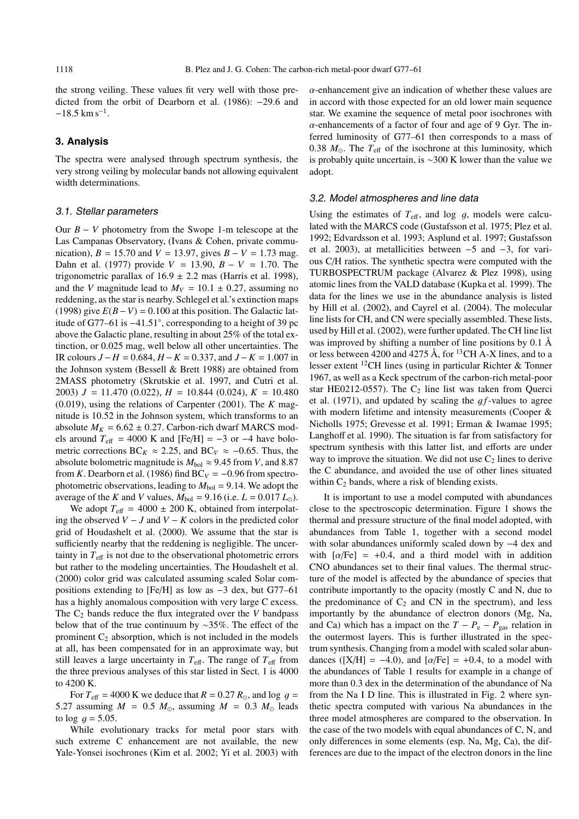the strong veiling. These values fit very well with those predicted from the orbit of Dearborn et al. (1986): −29.6 and  $-18.5$  km s<sup>-1</sup>.

## **3. Analysis**

The spectra were analysed through spectrum synthesis, the very strong veiling by molecular bands not allowing equivalent width determinations.

### 3.1. Stellar parameters

Our *B* − *V* photometry from the Swope 1-m telescope at the Las Campanas Observatory, (Ivans & Cohen, private communication),  $B = 15.70$  and  $V = 13.97$ , gives  $B - V = 1.73$  mag. Dahn et al. (1977) provide *V* = 13.90, *B* − *V* = 1.70. The trigonometric parallax of  $16.9 \pm 2.2$  mas (Harris et al. 1998), and the *V* magnitude lead to  $M_V = 10.1 \pm 0.27$ , assuming no reddening, as the star is nearby. Schlegel et al.'s extinction maps (1998) give  $E(B-V) = 0.100$  at this position. The Galactic latitude of G77–61 is <sup>−</sup>41.51◦, corresponding to a height of 39 pc above the Galactic plane, resulting in about 25% of the total extinction, or 0.025 mag, well below all other uncertainties. The IR colours *J* − *H* = 0.684, *H* −*K* = 0.337, and *J* −*K* = 1.007 in the Johnson system (Bessell & Brett 1988) are obtained from 2MASS photometry (Skrutskie et al. 1997, and Cutri et al. 2003)  $J = 11.470$  (0.022),  $H = 10.844$  (0.024),  $K = 10.480$ (0.019), using the relations of Carpenter (2001). The *K* magnitude is 10.52 in the Johnson system, which transforms to an absolute  $M_K = 6.62 \pm 0.27$ . Carbon-rich dwarf MARCS models around  $T_{\text{eff}}$  = 4000 K and [Fe/H] = −3 or −4 have bolometric corrections BC<sub>*K*</sub> ≈ 2.25, and BC<sub>*V*</sub> ≈ −0.65. Thus, the absolute bolometric magnitude is  $M_{bol} \approx 9.45$  from *V*, and 8.87 from *K*. Dearborn et al. (1986) find  $BC_V = -0.96$  from spectrophotometric observations, leading to  $M_{bol} = 9.14$ . We adopt the average of the *K* and *V* values,  $M_{bol} = 9.16$  (i.e.  $L = 0.017 L_{\odot}$ ).

We adopt  $T_{\text{eff}}$  = 4000  $\pm$  200 K, obtained from interpolating the observed *V* − *J* and *V* − *K* colors in the predicted color grid of Houdashelt et al. (2000). We assume that the star is sufficiently nearby that the reddening is negligible. The uncertainty in  $T_{\text{eff}}$  is not due to the observational photometric errors but rather to the modeling uncertainties. The Houdashelt et al. (2000) color grid was calculated assuming scaled Solar compositions extending to [Fe/H] as low as −3 dex, but G77–61 has a highly anomalous composition with very large C excess. The  $C_2$  bands reduce the flux integrated over the *V* bandpass below that of the true continuum by ∼35%. The effect of the prominent  $C_2$  absorption, which is not included in the models at all, has been compensated for in an approximate way, but still leaves a large uncertainty in  $T_{\text{eff}}$ . The range of  $T_{\text{eff}}$  from the three previous analyses of this star listed in Sect. 1 is 4000 to 4200 K.

For  $T_{\text{eff}}$  = 4000 K we deduce that  $R = 0.27 R_{\odot}$ , and log  $q =$ 5.27 assuming  $M = 0.5$   $M_{\odot}$ , assuming  $M = 0.3$   $M_{\odot}$  leads to  $log\ q = 5.05$ .

While evolutionary tracks for metal poor stars with such extreme C enhancement are not available, the new Yale-Yonsei isochrones (Kim et al. 2002; Yi et al. 2003) with  $\alpha$ -enhancement give an indication of whether these values are in accord with those expected for an old lower main sequence star. We examine the sequence of metal poor isochrones with  $\alpha$ -enhancements of a factor of four and age of 9 Gyr. The inferred luminosity of G77–61 then corresponds to a mass of 0.38  $M_{\odot}$ . The  $T_{\text{eff}}$  of the isochrone at this luminosity, which is probably quite uncertain, is ∼300 K lower than the value we adopt.

#### 3.2. Model atmospheres and line data

Using the estimates of  $T_{\text{eff}}$ , and log g, models were calculated with the MARCS code (Gustafsson et al. 1975; Plez et al. 1992; Edvardsson et al. 1993; Asplund et al. 1997; Gustafsson et al. 2003), at metallicities between −5 and −3, for various C/H ratios. The synthetic spectra were computed with the TURBOSPECTRUM package (Alvarez & Plez 1998), using atomic lines from the VALD database (Kupka et al. 1999). The data for the lines we use in the abundance analysis is listed by Hill et al. (2002), and Cayrel et al. (2004). The molecular line lists for CH, and CN were specially assembled. These lists, used by Hill et al. (2002), were further updated. The CH line list was improved by shifting a number of line positions by 0.1 Å or less between 4200 and 4275 Å, for 13CH A-X lines, and to a lesser extent 12CH lines (using in particular Richter & Tonner 1967, as well as a Keck spectrum of the carbon-rich metal-poor star HE0212-0557). The  $C_2$  line list was taken from Querci et al.  $(1971)$ , and updated by scaling the  $gf$ -values to agree with modern lifetime and intensity measurements (Cooper & Nicholls 1975; Grevesse et al. 1991; Erman & Iwamae 1995; Langhoff et al. 1990). The situation is far from satisfactory for spectrum synthesis with this latter list, and efforts are under way to improve the situation. We did not use  $C_2$  lines to derive the C abundance, and avoided the use of other lines situated within  $C_2$  bands, where a risk of blending exists.

It is important to use a model computed with abundances close to the spectroscopic determination. Figure 1 shows the thermal and pressure structure of the final model adopted, with abundances from Table 1, together with a second model with solar abundances uniformly scaled down by −4 dex and with  $\lceil \alpha/\text{Fe} \rceil = +0.4$ , and a third model with in addition CNO abundances set to their final values. The thermal structure of the model is affected by the abundance of species that contribute importantly to the opacity (mostly C and N, due to the predominance of  $C_2$  and CN in the spectrum), and less importantly by the abundance of electron donors (Mg, Na, and Ca) which has a impact on the  $T - P_e - P_{gas}$  relation in the outermost layers. This is further illustrated in the spectrum synthesis. Changing from a model with scaled solar abundances ( $[X/H] = -4.0$ ), and  $[\alpha/Fe] = +0.4$ , to a model with the abundances of Table 1 results for example in a change of more than 0.3 dex in the determination of the abundance of Na from the Na I D line. This is illustrated in Fig. 2 where synthetic spectra computed with various Na abundances in the three model atmospheres are compared to the observation. In the case of the two models with equal abundances of C, N, and only differences in some elements (esp. Na, Mg, Ca), the differences are due to the impact of the electron donors in the line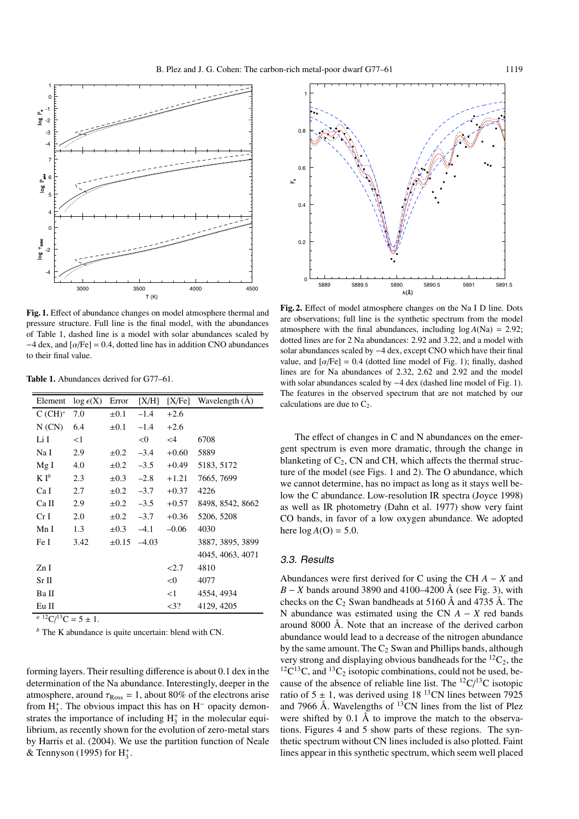

**Fig. 1.** Effect of abundance changes on model atmosphere thermal and pressure structure. Full line is the final model, with the abundances of Table 1, dashed line is a model with solar abundances scaled by  $-4$  dex, and  $\alpha$ Fe] = 0.4, dotted line has in addition CNO abundances to their final value.

**Table 1.** Abundances derived for G77–61.

| $\log \epsilon(X)$ | Error      | [X/H]   | [X/Fe]   | Wavelength $(\AA)$ |
|--------------------|------------|---------|----------|--------------------|
| 7.0                | $\pm 0.1$  | $-1.4$  | $+2.6$   |                    |
| 6.4                | $\pm 0.1$  | $-1.4$  | $+2.6$   |                    |
| <1                 |            | < 0     | $\leq$ 4 | 6708               |
| 2.9                | $\pm 0.2$  | $-3.4$  | $+0.60$  | 5889               |
| 4.0                | $\pm 0.2$  | $-3.5$  | $+0.49$  | 5183, 5172         |
| 2.3                | $\pm 0.3$  | $-2.8$  | $+1.21$  | 7665, 7699         |
| 2.7                | $\pm 0.2$  | $-3.7$  | $+0.37$  | 4226               |
| 2.9                | $\pm 0.2$  | $-3.5$  | $+0.57$  | 8498, 8542, 8662   |
| 2.0                | $\pm 0.2$  | $-3.7$  | $+0.36$  | 5206, 5208         |
| 1.3                | $\pm 0.3$  | $-4.1$  | $-0.06$  | 4030               |
| 3.42               | $\pm 0.15$ | $-4.03$ |          | 3887, 3895, 3899   |
|                    |            |         |          | 4045, 4063, 4071   |
|                    |            |         | 2.7      | 4810               |
|                    |            |         | < 0      | 4077               |
|                    |            |         | $<$ 1    | 4554, 4934         |
|                    |            |         | $<$ 3?   | 4129, 4205         |
| a 12a 12a          |            |         |          |                    |

 $a^{12}C/{}^{13}C = 5 \pm 1.$ 

*<sup>b</sup>* The K abundance is quite uncertain: blend with CN.

forming layers. Their resulting difference is about 0.1 dex in the determination of the Na abundance. Interestingly, deeper in the atmosphere, around  $\tau_{\text{Ross}} = 1$ , about 80% of the electrons arise from  $H_3^+$ . The obvious impact this has on  $H^-$  opacity demonstrates the importance of including  $H_3^+$  in the molecular equilibrium, as recently shown for the evolution of zero-metal stars by Harris et al. (2004). We use the partition function of Neale & Tennyson (1995) for  $H_3^+$ .



**Fig. 2.** Effect of model atmosphere changes on the Na I D line. Dots are observations; full line is the synthetic spectrum from the model atmosphere with the final abundances, including  $log A(Na) = 2.92$ ; dotted lines are for 2 Na abundances: 2.92 and 3.22, and a model with solar abundances scaled by −4 dex, except CNO which have their final value, and  $\left[\alpha/\text{Fe}\right] = 0.4$  (dotted line model of Fig. 1); finally, dashed lines are for Na abundances of 2.32, 2.62 and 2.92 and the model with solar abundances scaled by −4 dex (dashed line model of Fig. 1). The features in the observed spectrum that are not matched by our calculations are due to  $C_2$ .

The effect of changes in C and N abundances on the emergent spectrum is even more dramatic, through the change in blanketing of  $C_2$ , CN and CH, which affects the thermal structure of the model (see Figs. 1 and 2). The O abundance, which we cannot determine, has no impact as long as it stays well below the C abundance. Low-resolution IR spectra (Joyce 1998) as well as IR photometry (Dahn et al. 1977) show very faint CO bands, in favor of a low oxygen abundance. We adopted here  $log A(O) = 5.0$ .

## 3.3. Results

Abundances were first derived for C using the CH *A* − *X* and *B* − *X* bands around 3890 and 4100–4200 Å (see Fig. 3), with checks on the  $C_2$  Swan bandheads at 5160 Å and 4735 Å. The N abundance was estimated using the CN *A* − *X* red bands around 8000 Å. Note that an increase of the derived carbon abundance would lead to a decrease of the nitrogen abundance by the same amount. The  $C_2$  Swan and Phillips bands, although very strong and displaying obvious bandheads for the  ${}^{12}C_2$ , the  ${}^{12}C^{13}C$ , and  ${}^{13}C_2$  isotopic combinations, could not be used, because of the absence of reliable line list. The  ${}^{12}C/{}^{13}C$  isotopic ratio of  $5 \pm 1$ , was derived using 18<sup>13</sup>CN lines between 7925 and 7966 Å. Wavelengths of  $^{13}$ CN lines from the list of Plez were shifted by 0.1 Å to improve the match to the observations. Figures 4 and 5 show parts of these regions. The synthetic spectrum without CN lines included is also plotted. Faint lines appear in this synthetic spectrum, which seem well placed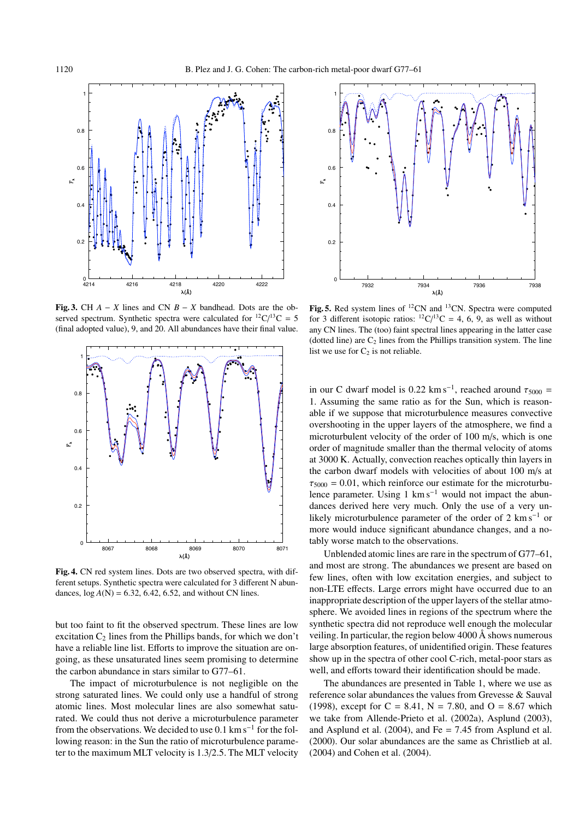

**Fig. 3.** CH  $A - X$  lines and CN  $B - X$  bandhead. Dots are the observed spectrum. Synthetic spectra were calculated for  $^{12}C/^{13}C = 5$ (final adopted value), 9, and 20. All abundances have their final value.



**Fig. 4.** CN red system lines. Dots are two observed spectra, with different setups. Synthetic spectra were calculated for 3 different N abundances,  $log A(N) = 6.32, 6.42, 6.52,$  and without CN lines.

but too faint to fit the observed spectrum. These lines are low excitation  $C_2$  lines from the Phillips bands, for which we don't have a reliable line list. Efforts to improve the situation are ongoing, as these unsaturated lines seem promising to determine the carbon abundance in stars similar to G77–61.

The impact of microturbulence is not negligible on the strong saturated lines. We could only use a handful of strong atomic lines. Most molecular lines are also somewhat saturated. We could thus not derive a microturbulence parameter from the observations. We decided to use  $0.1 \text{ km s}^{-1}$  for the following reason: in the Sun the ratio of microturbulence parameter to the maximum MLT velocity is 1.3/2.5. The MLT velocity



Fig. 5. Red system lines of <sup>12</sup>CN and <sup>13</sup>CN. Spectra were computed for 3 different isotopic ratios:  ${}^{12}C/{}^{13}C = 4, 6, 9$ , as well as without any CN lines. The (too) faint spectral lines appearing in the latter case (dotted line) are  $C_2$  lines from the Phillips transition system. The line list we use for  $C_2$  is not reliable.

in our C dwarf model is 0.22 km s<sup>-1</sup>, reached around  $\tau_{5000}$  = 1. Assuming the same ratio as for the Sun, which is reasonable if we suppose that microturbulence measures convective overshooting in the upper layers of the atmosphere, we find a microturbulent velocity of the order of 100 m/s, which is one order of magnitude smaller than the thermal velocity of atoms at 3000 K. Actually, convection reaches optically thin layers in the carbon dwarf models with velocities of about 100 m/s at  $\tau_{5000} = 0.01$ , which reinforce our estimate for the microturbulence parameter. Using 1 km s<sup> $-1$ </sup> would not impact the abundances derived here very much. Only the use of a very unlikely microturbulence parameter of the order of 2 km s−<sup>1</sup> or more would induce significant abundance changes, and a notably worse match to the observations.

Unblended atomic lines are rare in the spectrum of G77–61, and most are strong. The abundances we present are based on few lines, often with low excitation energies, and subject to non-LTE effects. Large errors might have occurred due to an inappropriate description of the upper layers of the stellar atmosphere. We avoided lines in regions of the spectrum where the synthetic spectra did not reproduce well enough the molecular veiling. In particular, the region below 4000 Å shows numerous large absorption features, of unidentified origin. These features show up in the spectra of other cool C-rich, metal-poor stars as well, and efforts toward their identification should be made.

The abundances are presented in Table 1, where we use as reference solar abundances the values from Grevesse & Sauval (1998), except for  $C = 8.41$ ,  $N = 7.80$ , and  $O = 8.67$  which we take from Allende-Prieto et al. (2002a), Asplund (2003), and Asplund et al.  $(2004)$ , and Fe = 7.45 from Asplund et al. (2000). Our solar abundances are the same as Christlieb at al. (2004) and Cohen et al. (2004).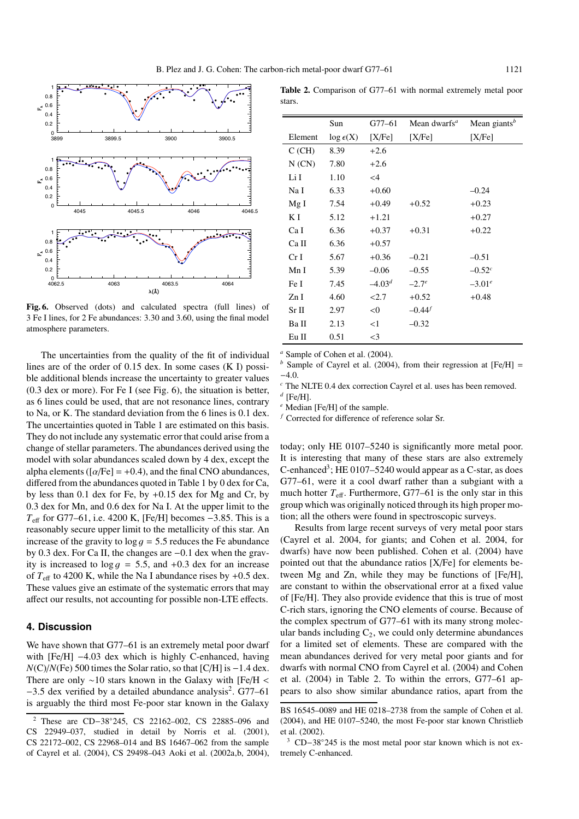

**Fig. 6.** Observed (dots) and calculated spectra (full lines) of 3 Fe I lines, for 2 Fe abundances: 3.30 and 3.60, using the final model atmosphere parameters.

The uncertainties from the quality of the fit of individual lines are of the order of 0.15 dex. In some cases (K I) possible additional blends increase the uncertainty to greater values (0.3 dex or more). For Fe I (see Fig. 6), the situation is better, as 6 lines could be used, that are not resonance lines, contrary to Na, or K. The standard deviation from the 6 lines is 0.1 dex. The uncertainties quoted in Table 1 are estimated on this basis. They do not include any systematic error that could arise from a change of stellar parameters. The abundances derived using the model with solar abundances scaled down by 4 dex, except the alpha elements ( $\lceil \alpha/\text{Fe} \rceil = +0.4$ ), and the final CNO abundances, differed from the abundances quoted in Table 1 by 0 dex for Ca, by less than 0.1 dex for Fe, by +0.15 dex for Mg and Cr, by 0.3 dex for Mn, and 0.6 dex for Na I. At the upper limit to the *T*<sub>eff</sub> for G77–61, i.e. 4200 K, [Fe/H] becomes −3.85. This is a reasonably secure upper limit to the metallicity of this star. An increase of the gravity to  $log\ g = 5.5$  reduces the Fe abundance by 0.3 dex. For Ca II, the changes are <sup>−</sup>0.1 dex when the gravity is increased to  $log\ g = 5.5$ , and  $+0.3$  dex for an increase of  $T_{\text{eff}}$  to 4200 K, while the Na I abundance rises by  $+0.5$  dex. These values give an estimate of the systematic errors that may affect our results, not accounting for possible non-LTE effects.

## **4. Discussion**

We have shown that G77–61 is an extremely metal poor dwarf with [Fe/H] −4.03 dex which is highly C-enhanced, having *N*(C)/*N*(Fe) 500 times the Solar ratio, so that [C/H] is −1.4 dex. There are only <sup>∼</sup>10 stars known in the Galaxy with [Fe/<sup>H</sup> <  $-3.5$  dex verified by a detailed abundance analysis<sup>2</sup>. G77–61 is arguably the third most Fe-poor star known in the Galaxy

|        | <b>Table 2.</b> Comparison of G77–61 with normal extremely metal poor |  |  |  |
|--------|-----------------------------------------------------------------------|--|--|--|
| stars. |                                                                       |  |  |  |

|                 | Sun               | G77–61   | Mean dwarfs <sup><math>a</math></sup> | Mean giants $b$ |
|-----------------|-------------------|----------|---------------------------------------|-----------------|
| Element         | $log \epsilon(X)$ | [X/Fe]   | [X/Fe]                                | [X/Fe]          |
| C(GH)           | 8.39              | $+2.6$   |                                       |                 |
| N (CN)          | 7.80              | $+2.6$   |                                       |                 |
| Li I            | 1.10              | $\leq$ 4 |                                       |                 |
| Na I            | 6.33              | $+0.60$  |                                       | $-0.24$         |
| Mg I            | 7.54              | $+0.49$  | $+0.52$                               | $+0.23$         |
| ΚI              | 5.12              | $+1.21$  |                                       | $+0.27$         |
| Ca I            | 6.36              | $+0.37$  | $+0.31$                               | $+0.22$         |
| Ca II           | 6.36              | $+0.57$  |                                       |                 |
| Cr <sub>I</sub> | 5.67              | $+0.36$  | $-0.21$                               | $-0.51$         |
| Mn I            | 5.39              | $-0.06$  | $-0.55$                               | $-0.52^{c}$     |
| Fe I            | 7.45              | $-4.03d$ | $-2.7^e$                              | $-3.01^e$       |
| ZnI             | 4.60              | < 2.7    | $+0.52$                               | $+0.48$         |
| Sr II           | 2.97              | < 0      | $-0.44^{f}$                           |                 |
| Ba II           | 2.13              | ${<}1$   | $-0.32$                               |                 |
| Eu II           | 0.51              | $\leq$ 3 |                                       |                 |
|                 |                   |          |                                       |                 |

*<sup>a</sup>* Sample of Cohen et al. (2004).

*b* Sample of Cayrel et al. (2004), from their regression at [Fe/H] = −4.0.

*<sup>c</sup>* The NLTE 0.4 dex correction Cayrel et al. uses has been removed.

*<sup>d</sup>* [Fe/H].

*<sup>e</sup>* Median [Fe/H] of the sample.

*<sup>f</sup>* Corrected for difference of reference solar Sr.

today; only HE 0107–5240 is significantly more metal poor. It is interesting that many of these stars are also extremely C-enhanced<sup>3</sup>; HE 0107–5240 would appear as a C-star, as does G77–61, were it a cool dwarf rather than a subgiant with a much hotter  $T_{\text{eff}}$ . Furthermore, G77–61 is the only star in this group which was originally noticed through its high proper motion; all the others were found in spectroscopic surveys.

Results from large recent surveys of very metal poor stars (Cayrel et al. 2004, for giants; and Cohen et al. 2004, for dwarfs) have now been published. Cohen et al. (2004) have pointed out that the abundance ratios [X/Fe] for elements between Mg and Zn, while they may be functions of [Fe/H], are constant to within the observational error at a fixed value of [Fe/H]. They also provide evidence that this is true of most C-rich stars, ignoring the CNO elements of course. Because of the complex spectrum of G77–61 with its many strong molecular bands including  $C_2$ , we could only determine abundances for a limited set of elements. These are compared with the mean abundances derived for very metal poor giants and for dwarfs with normal CNO from Cayrel et al. (2004) and Cohen et al. (2004) in Table 2. To within the errors, G77–61 appears to also show similar abundance ratios, apart from the

<sup>2</sup> These are CD−38◦245, CS 22162–002, CS 22885–096 and CS 22949–037, studied in detail by Norris et al. (2001), CS 22172–002, CS 22968–014 and BS 16467–062 from the sample of Cayrel et al. (2004), CS 29498–043 Aoki et al. (2002a,b, 2004),

BS 16545–0089 and HE 0218–2738 from the sample of Cohen et al. (2004), and HE 0107–5240, the most Fe-poor star known Christlieb et al. (2002).

<sup>3</sup> CD−38◦245 is the most metal poor star known which is not extremely C-enhanced.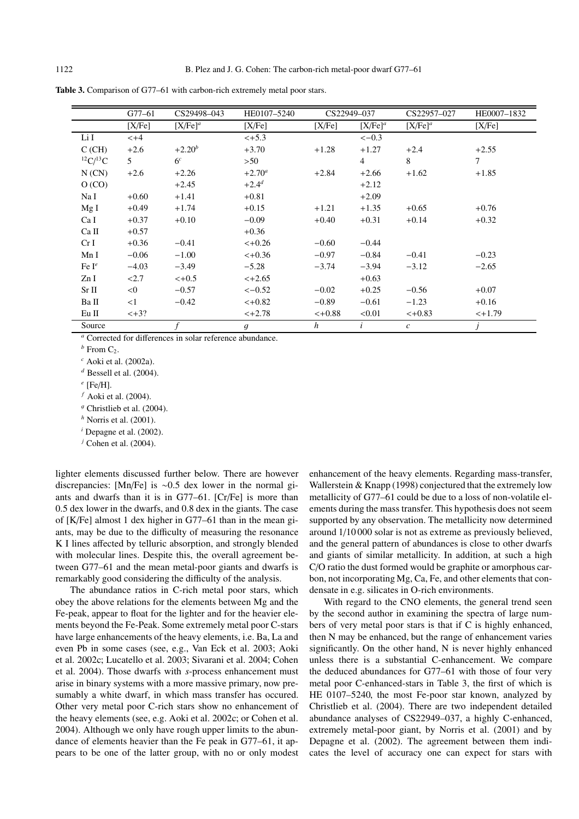|                     | $G77 - 61$ | CS29498-043                                                          | HE0107-5240    | CS22949-037      |                     | CS22957-027                 | HE0007-1832 |  |
|---------------------|------------|----------------------------------------------------------------------|----------------|------------------|---------------------|-----------------------------|-------------|--|
|                     | [X/Fe]     | [X/Fe] <sup>a</sup>                                                  | [X/Fe]         | [X/Fe]           | [X/Fe] <sup>a</sup> | [X/Fe] <sup>a</sup>         | [X/Fe]      |  |
| Li I                | $< +4$     |                                                                      | $< +5.3$       |                  | $<-0.3$             |                             |             |  |
| C(GH)               | $+2.6$     | $+2.20^{b}$                                                          | $+3.70$        | $+1.28$          | $+1.27$             | $+2.4$                      | $+2.55$     |  |
| ${}^{12}C/{}^{13}C$ | 5          | 6 <sup>c</sup>                                                       | >50            |                  | $\overline{4}$      | 8                           | $\tau$      |  |
| N(CN)               | $+2.6$     | $+2.26$                                                              | $+2.70^a$      | $+2.84$          | $+2.66$             | $+1.62$                     | $+1.85$     |  |
| O (CO)              |            | $+2.45$                                                              | $+2.4^{d}$     |                  | $+2.12$             |                             |             |  |
| Na I                | $+0.60$    | $+1.41$                                                              | $+0.81$        |                  | $+2.09$             |                             |             |  |
| Mg I                | $+0.49$    | $+1.74$                                                              | $+0.15$        | $+1.21$          | $+1.35$             | $+0.65$                     | $+0.76$     |  |
| Ca I                | $+0.37$    | $+0.10$                                                              | $-0.09$        | $+0.40$          | $+0.31$             | $+0.14$                     | $+0.32$     |  |
| Ca II               | $+0.57$    |                                                                      | $+0.36$        |                  |                     |                             |             |  |
| CrI                 | $+0.36$    | $-0.41$                                                              | $< +0.26$      | $-0.60$          | $-0.44$             |                             |             |  |
| Mn I                | $-0.06$    | $-1.00$                                                              | $< +0.36$      | $-0.97$          | $-0.84$             | $-0.41$                     | $-0.23$     |  |
| Fe $I^e$            | $-4.03$    | $-3.49$                                                              | $-5.28$        | $-3.74$          | $-3.94$             | $-3.12$                     | $-2.65$     |  |
| ZnI                 | < 2.7      | $< +0.5$                                                             | $< +2.65$      |                  | $+0.63$             |                             |             |  |
| Sr II               | < 0        | $-0.57$                                                              | $<-0.52$       | $-0.02$          | $+0.25$             | $-0.56$                     | $+0.07$     |  |
| Ba II               | <1         | $-0.42$                                                              | $< +0.82$      | $-0.89$          | $-0.61$             | $-1.23$                     | $+0.16$     |  |
| Eu II               | $< +3?$    |                                                                      | $< +2.78$      | $< +0.88$        | < 0.01              | $< +0.83$                   | $< +1.79$   |  |
| Source              |            |                                                                      | $\mathfrak{g}$ | $\boldsymbol{h}$ |                     | $\mathcal{C}_{\mathcal{C}}$ |             |  |
|                     |            | <sup>a</sup> Corrected for differences in solar reference abundance. |                |                  |                     |                             |             |  |

Table 3. Comparison of G77-61 with carbon-rich extremely metal poor stars.

 *From C<sub>2</sub>.* 

*<sup>c</sup>* Aoki et al. (2002a).

*<sup>d</sup>* Bessell et al. (2004).

*<sup>e</sup>* [Fe/H].

*<sup>f</sup>* Aoki et al. (2004).

 $9$  Christlieb et al. (2004).

*<sup>h</sup>* Norris et al. (2001).

*<sup>i</sup>* Depagne et al. (2002).

*<sup>j</sup>* Cohen et al. (2004).

lighter elements discussed further below. There are however discrepancies: [Mn/Fe] is ∼0.5 dex lower in the normal giants and dwarfs than it is in G77–61. [Cr/Fe] is more than 0.5 dex lower in the dwarfs, and 0.8 dex in the giants. The case of [K/Fe] almost 1 dex higher in G77–61 than in the mean giants, may be due to the difficulty of measuring the resonance K I lines affected by telluric absorption, and strongly blended with molecular lines. Despite this, the overall agreement between G77–61 and the mean metal-poor giants and dwarfs is remarkably good considering the difficulty of the analysis.

The abundance ratios in C-rich metal poor stars, which obey the above relations for the elements between Mg and the Fe-peak, appear to float for the lighter and for the heavier elements beyond the Fe-Peak. Some extremely metal poor C-stars have large enhancements of the heavy elements, i.e. Ba, La and even Pb in some cases (see, e.g., Van Eck et al. 2003; Aoki et al. 2002c; Lucatello et al. 2003; Sivarani et al. 2004; Cohen et al. 2004). Those dwarfs with *s*-process enhancement must arise in binary systems with a more massive primary, now presumably a white dwarf, in which mass transfer has occured. Other very metal poor C-rich stars show no enhancement of the heavy elements (see, e.g. Aoki et al. 2002c; or Cohen et al. 2004). Although we only have rough upper limits to the abundance of elements heavier than the Fe peak in G77–61, it appears to be one of the latter group, with no or only modest enhancement of the heavy elements. Regarding mass-transfer, Wallerstein & Knapp (1998) conjectured that the extremely low metallicity of G77–61 could be due to a loss of non-volatile elements during the mass transfer. This hypothesis does not seem supported by any observation. The metallicity now determined around 1/10 000 solar is not as extreme as previously believed, and the general pattern of abundances is close to other dwarfs and giants of similar metallicity. In addition, at such a high C/O ratio the dust formed would be graphite or amorphous carbon, not incorporating Mg, Ca, Fe, and other elements that condensate in e.g. silicates in O-rich environments.

With regard to the CNO elements, the general trend seen by the second author in examining the spectra of large numbers of very metal poor stars is that if C is highly enhanced, then N may be enhanced, but the range of enhancement varies significantly. On the other hand, N is never highly enhanced unless there is a substantial C-enhancement. We compare the deduced abundances for G77–61 with those of four very metal poor C-enhanced-stars in Table 3, the first of which is HE 0107–5240, the most Fe-poor star known, analyzed by Christlieb et al. (2004). There are two independent detailed abundance analyses of CS22949–037, a highly C-enhanced, extremely metal-poor giant, by Norris et al. (2001) and by Depagne et al. (2002). The agreement between them indicates the level of accuracy one can expect for stars with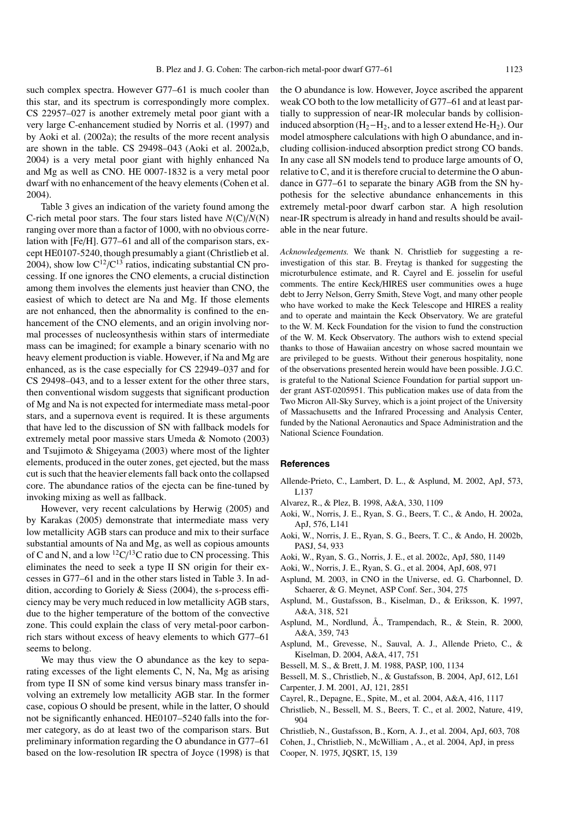such complex spectra. However G77–61 is much cooler than this star, and its spectrum is correspondingly more complex. CS 22957–027 is another extremely metal poor giant with a very large C-enhancement studied by Norris et al. (1997) and by Aoki et al. (2002a); the results of the more recent analysis are shown in the table. CS 29498–043 (Aoki et al. 2002a,b, 2004) is a very metal poor giant with highly enhanced Na and Mg as well as CNO. HE 0007-1832 is a very metal poor dwarf with no enhancement of the heavy elements (Cohen et al. 2004).

Table 3 gives an indication of the variety found among the C-rich metal poor stars. The four stars listed have *N*(C)/*N*(N) ranging over more than a factor of 1000, with no obvious correlation with [Fe/H]. G77–61 and all of the comparison stars, except HE0107-5240, though presumably a giant (Christlieb et al. 2004), show low  $C^{12}/C^{13}$  ratios, indicating substantial CN processing. If one ignores the CNO elements, a crucial distinction among them involves the elements just heavier than CNO, the easiest of which to detect are Na and Mg. If those elements are not enhanced, then the abnormality is confined to the enhancement of the CNO elements, and an origin involving normal processes of nucleosynthesis within stars of intermediate mass can be imagined; for example a binary scenario with no heavy element production is viable. However, if Na and Mg are enhanced, as is the case especially for CS 22949–037 and for CS 29498–043, and to a lesser extent for the other three stars, then conventional wisdom suggests that significant production of Mg and Na is not expected for intermediate mass metal-poor stars, and a supernova event is required. It is these arguments that have led to the discussion of SN with fallback models for extremely metal poor massive stars Umeda & Nomoto (2003) and Tsujimoto & Shigeyama (2003) where most of the lighter elements, produced in the outer zones, get ejected, but the mass cut is such that the heavier elements fall back onto the collapsed core. The abundance ratios of the ejecta can be fine-tuned by invoking mixing as well as fallback.

However, very recent calculations by Herwig (2005) and by Karakas (2005) demonstrate that intermediate mass very low metallicity AGB stars can produce and mix to their surface substantial amounts of Na and Mg, as well as copious amounts of C and N, and a low  ${}^{12}C/{}^{13}C$  ratio due to CN processing. This eliminates the need to seek a type II SN origin for their excesses in G77–61 and in the other stars listed in Table 3. In addition, according to Goriely & Siess (2004), the s-process efficiency may be very much reduced in low metallicity AGB stars, due to the higher temperature of the bottom of the convective zone. This could explain the class of very metal-poor carbonrich stars without excess of heavy elements to which G77–61 seems to belong.

We may thus view the O abundance as the key to separating excesses of the light elements C, N, Na, Mg as arising from type II SN of some kind versus binary mass transfer involving an extremely low metallicity AGB star. In the former case, copious O should be present, while in the latter, O should not be significantly enhanced. HE0107–5240 falls into the former category, as do at least two of the comparison stars. But preliminary information regarding the O abundance in G77–61 based on the low-resolution IR spectra of Joyce (1998) is that the O abundance is low. However, Joyce ascribed the apparent weak CO both to the low metallicity of G77–61 and at least partially to suppression of near-IR molecular bands by collisioninduced absorption  $(H_2-H_2)$ , and to a lesser extend He-H<sub>2</sub>). Our model atmosphere calculations with high O abundance, and including collision-induced absorption predict strong CO bands. In any case all SN models tend to produce large amounts of O, relative to C, and it is therefore crucial to determine the O abundance in G77–61 to separate the binary AGB from the SN hypothesis for the selective abundance enhancements in this extremely metal-poor dwarf carbon star. A high resolution near-IR spectrum is already in hand and results should be available in the near future.

*Acknowledgements.* We thank N. Christlieb for suggesting a reinvestigation of this star. B. Freytag is thanked for suggesting the microturbulence estimate, and R. Cayrel and E. josselin for useful comments. The entire Keck/HIRES user communities owes a huge debt to Jerry Nelson, Gerry Smith, Steve Vogt, and many other people who have worked to make the Keck Telescope and HIRES a reality and to operate and maintain the Keck Observatory. We are grateful to the W. M. Keck Foundation for the vision to fund the construction of the W. M. Keck Observatory. The authors wish to extend special thanks to those of Hawaiian ancestry on whose sacred mountain we are privileged to be guests. Without their generous hospitality, none of the observations presented herein would have been possible. J.G.C. is grateful to the National Science Foundation for partial support under grant AST-0205951. This publication makes use of data from the Two Micron All-Sky Survey, which is a joint project of the University of Massachusetts and the Infrared Processing and Analysis Center, funded by the National Aeronautics and Space Administration and the National Science Foundation.

#### **References**

- Allende-Prieto, C., Lambert, D. L., & Asplund, M. 2002, ApJ, 573, L137
- Alvarez, R., & Plez, B. 1998, A&A, 330, 1109
- Aoki, W., Norris, J. E., Ryan, S. G., Beers, T. C., & Ando, H. 2002a, ApJ, 576, L141
- Aoki, W., Norris, J. E., Ryan, S. G., Beers, T. C., & Ando, H. 2002b, PASJ, 54, 933
- Aoki, W., Ryan, S. G., Norris, J. E., et al. 2002c, ApJ, 580, 1149
- Aoki, W., Norris, J. E., Ryan, S. G., et al. 2004, ApJ, 608, 971
- Asplund, M. 2003, in CNO in the Universe, ed. G. Charbonnel, D. Schaerer, & G. Meynet, ASP Conf. Ser., 304, 275
- Asplund, M., Gustafsson, B., Kiselman, D., & Eriksson, K. 1997, A&A, 318, 521
- Asplund, M., Nordlund, Å., Trampendach, R., & Stein, R. 2000, A&A, 359, 743
- Asplund, M., Grevesse, N., Sauval, A. J., Allende Prieto, C., & Kiselman, D. 2004, A&A, 417, 751
- Bessell, M. S., & Brett, J. M. 1988, PASP, 100, 1134
- Bessell, M. S., Christlieb, N., & Gustafsson, B. 2004, ApJ, 612, L61 Carpenter, J. M. 2001, AJ, 121, 2851
- Cayrel, R., Depagne, E., Spite, M., et al. 2004, A&A, 416, 1117
- Christlieb, N., Bessell, M. S., Beers, T. C., et al. 2002, Nature, 419, 904
- Christlieb, N., Gustafsson, B., Korn, A. J., et al. 2004, ApJ, 603, 708
- Cohen, J., Christlieb, N., McWilliam , A., et al. 2004, ApJ, in press
- Cooper, N. 1975, JQSRT, 15, 139